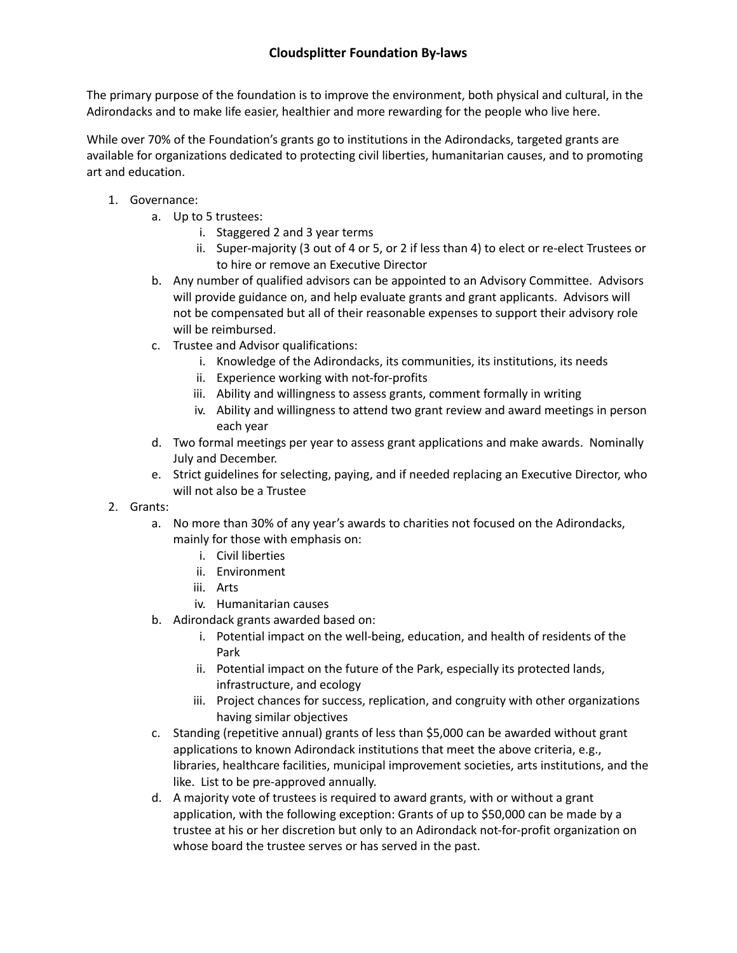## **Cloudsplitter Foundation By-laws**

The primary purpose of the foundation is to improve the environment, both physical and cultural, in the Adirondacks and to make life easier, healthier and more rewarding for the people who live here.

While over 70% of the Foundation's grants go to institutions in the Adirondacks, targeted grants are available for organizations dedicated to protecting civil liberties, humanitarian causes, and to promoting art and education.

- 1. Governance:
	- a. Up to 5 trustees:
		- i. Staggered 2 and 3 year terms
		- ii. Super-majority (3 out of 4 or 5, or 2 if less than 4) to elect or re-elect Trustees or to hire or remove an Executive Director
	- b. Any number of qualified advisors can be appointed to an Advisory Committee. Advisors will provide guidance on, and help evaluate grants and grant applicants. Advisors will not be compensated but all of their reasonable expenses to support their advisory role will be reimbursed.
	- c. Trustee and Advisor qualifications:
		- i. Knowledge of the Adirondacks, its communities, its institutions, its needs
		- ii. Experience working with not-for-profits
		- iii. Ability and willingness to assess grants, comment formally in writing
		- iv. Ability and willingness to attend two grant review and award meetings in person each year
	- d. Two formal meetings per year to assess grant applications and make awards. Nominally July and December.
	- e. Strict guidelines for selecting, paying, and if needed replacing an Executive Director, who will not also be a Trustee
- 2. Grants:
	- a. No more than 30% of any year's awards to charities not focused on the Adirondacks, mainly for those with emphasis on:
		- i. Civil liberties
		- ii. Environment
		- iii. Arts
		- iv. Humanitarian causes
	- b. Adirondack grants awarded based on:
		- i. Potential impact on the well-being, education, and health of residents of the Park
		- ii. Potential impact on the future of the Park, especially its protected lands, infrastructure, and ecology
		- iii. Project chances for success, replication, and congruity with other organizations having similar objectives
	- c. Standing (repetitive annual) grants of less than \$5,000 can be awarded without grant applications to known Adirondack institutions that meet the above criteria, e.g., libraries, healthcare facilities, municipal improvement societies, arts institutions, and the like. List to be pre-approved annually.
	- d. A majority vote of trustees is required to award grants, with or without a grant application, with the following exception: Grants of up to \$50,000 can be made by a trustee at his or her discretion but only to an Adirondack not-for-profit organization on whose board the trustee serves or has served in the past.